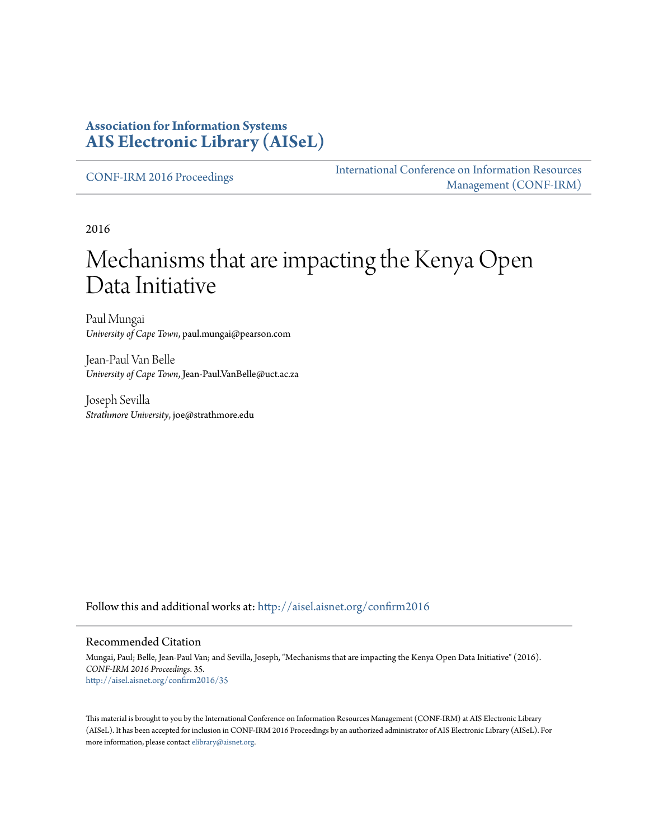#### **Association for Information Systems [AIS Electronic Library \(AISeL\)](http://aisel.aisnet.org?utm_source=aisel.aisnet.org%2Fconfirm2016%2F35&utm_medium=PDF&utm_campaign=PDFCoverPages)**

[CONF-IRM 2016 Proceedings](http://aisel.aisnet.org/confirm2016?utm_source=aisel.aisnet.org%2Fconfirm2016%2F35&utm_medium=PDF&utm_campaign=PDFCoverPages)

[International Conference on Information Resources](http://aisel.aisnet.org/conf-irm?utm_source=aisel.aisnet.org%2Fconfirm2016%2F35&utm_medium=PDF&utm_campaign=PDFCoverPages) [Management \(CONF-IRM\)](http://aisel.aisnet.org/conf-irm?utm_source=aisel.aisnet.org%2Fconfirm2016%2F35&utm_medium=PDF&utm_campaign=PDFCoverPages)

2016

# Mechanisms that are impacting the Kenya Open Data Initiative

Paul Mungai *University of Cape Town*, paul.mungai@pearson.com

Jean-Paul Van Belle *University of Cape Town*, Jean-Paul.VanBelle@uct.ac.za

Joseph Sevilla *Strathmore University*, joe@strathmore.edu

Follow this and additional works at: [http://aisel.aisnet.org/confirm2016](http://aisel.aisnet.org/confirm2016?utm_source=aisel.aisnet.org%2Fconfirm2016%2F35&utm_medium=PDF&utm_campaign=PDFCoverPages)

#### Recommended Citation

Mungai, Paul; Belle, Jean-Paul Van; and Sevilla, Joseph, "Mechanisms that are impacting the Kenya Open Data Initiative" (2016). *CONF-IRM 2016 Proceedings*. 35. [http://aisel.aisnet.org/confirm2016/35](http://aisel.aisnet.org/confirm2016/35?utm_source=aisel.aisnet.org%2Fconfirm2016%2F35&utm_medium=PDF&utm_campaign=PDFCoverPages)

This material is brought to you by the International Conference on Information Resources Management (CONF-IRM) at AIS Electronic Library (AISeL). It has been accepted for inclusion in CONF-IRM 2016 Proceedings by an authorized administrator of AIS Electronic Library (AISeL). For more information, please contact [elibrary@aisnet.org.](mailto:elibrary@aisnet.org%3E)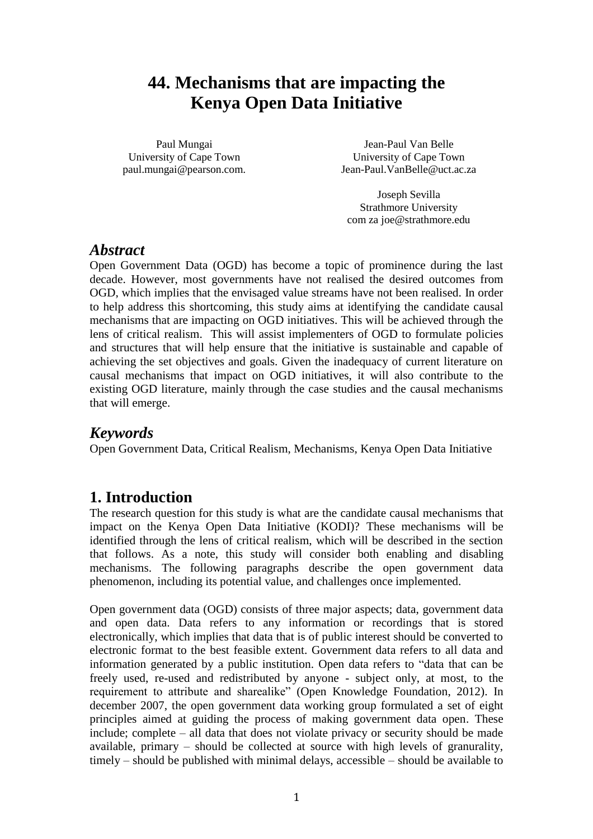## **44. Mechanisms that are impacting the Kenya Open Data Initiative**

Paul Mungai University of Cape Town paul.mungai@pearson.com.

Jean-Paul Van Belle University of Cape Town Jean-Paul.VanBelle@uct.ac.za

Joseph Sevilla Strathmore University com za joe@strathmore.edu

## *Abstract*

Open Government Data (OGD) has become a topic of prominence during the last decade. However, most governments have not realised the desired outcomes from OGD, which implies that the envisaged value streams have not been realised. In order to help address this shortcoming, this study aims at identifying the candidate causal mechanisms that are impacting on OGD initiatives. This will be achieved through the lens of critical realism. This will assist implementers of OGD to formulate policies and structures that will help ensure that the initiative is sustainable and capable of achieving the set objectives and goals. Given the inadequacy of current literature on causal mechanisms that impact on OGD initiatives, it will also contribute to the existing OGD literature, mainly through the case studies and the causal mechanisms that will emerge.

## *Keywords*

Open Government Data, Critical Realism, Mechanisms, Kenya Open Data Initiative

## **1. Introduction**

The research question for this study is what are the candidate causal mechanisms that impact on the Kenya Open Data Initiative (KODI)? These mechanisms will be identified through the lens of critical realism, which will be described in the section that follows. As a note, this study will consider both enabling and disabling mechanisms. The following paragraphs describe the open government data phenomenon, including its potential value, and challenges once implemented.

Open government data (OGD) consists of three major aspects; data, government data and open data. Data refers to any information or recordings that is stored electronically, which implies that data that is of public interest should be converted to electronic format to the best feasible extent. Government data refers to all data and information generated by a public institution. Open data refers to "data that can be freely used, re-used and redistributed by anyone - subject only, at most, to the requirement to attribute and sharealike" (Open Knowledge Foundation, 2012). In december 2007, the open government data working group formulated a set of eight principles aimed at guiding the process of making government data open. These include; complete – all data that does not violate privacy or security should be made available, primary – should be collected at source with high levels of granurality, timely – should be published with minimal delays, accessible – should be available to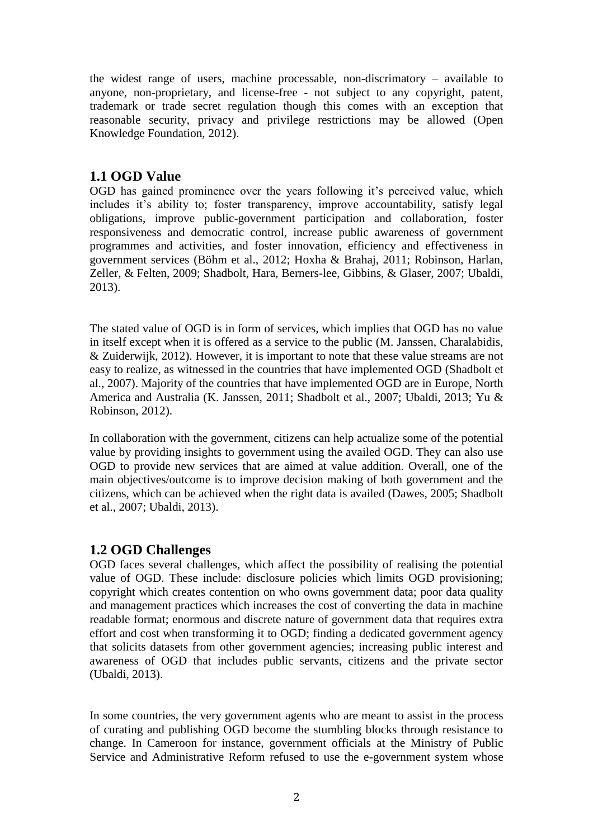the widest range of users, machine processable, non-discrimatory – available to anyone, non-proprietary, and license-free - not subject to any copyright, patent, trademark or trade secret regulation though this comes with an exception that reasonable security, privacy and privilege restrictions may be allowed (Open Knowledge Foundation, 2012).

#### **1.1 OGD Value**

OGD has gained prominence over the years following it's perceived value, which includes it's ability to; foster transparency, improve accountability, satisfy legal obligations, improve public-government participation and collaboration, foster responsiveness and democratic control, increase public awareness of government programmes and activities, and foster innovation, efficiency and effectiveness in government services (Böhm et al., 2012; Hoxha & Brahaj, 2011; Robinson, Harlan, Zeller, & Felten, 2009; Shadbolt, Hara, Berners-lee, Gibbins, & Glaser, 2007; Ubaldi, 2013).

The stated value of OGD is in form of services, which implies that OGD has no value in itself except when it is offered as a service to the public (M. Janssen, Charalabidis, & Zuiderwijk, 2012). However, it is important to note that these value streams are not easy to realize, as witnessed in the countries that have implemented OGD (Shadbolt et al., 2007). Majority of the countries that have implemented OGD are in Europe, North America and Australia (K. Janssen, 2011; Shadbolt et al., 2007; Ubaldi, 2013; Yu & Robinson, 2012).

In collaboration with the government, citizens can help actualize some of the potential value by providing insights to government using the availed OGD. They can also use OGD to provide new services that are aimed at value addition. Overall, one of the main objectives/outcome is to improve decision making of both government and the citizens, which can be achieved when the right data is availed (Dawes, 2005; Shadbolt et al., 2007; Ubaldi, 2013).

#### **1.2 OGD Challenges**

OGD faces several challenges, which affect the possibility of realising the potential value of OGD. These include: disclosure policies which limits OGD provisioning; copyright which creates contention on who owns government data; poor data quality and management practices which increases the cost of converting the data in machine readable format; enormous and discrete nature of government data that requires extra effort and cost when transforming it to OGD; finding a dedicated government agency that solicits datasets from other government agencies; increasing public interest and awareness of OGD that includes public servants, citizens and the private sector (Ubaldi, 2013).

In some countries, the very government agents who are meant to assist in the process of curating and publishing OGD become the stumbling blocks through resistance to change. In Cameroon for instance, government officials at the Ministry of Public Service and Administrative Reform refused to use the e-government system whose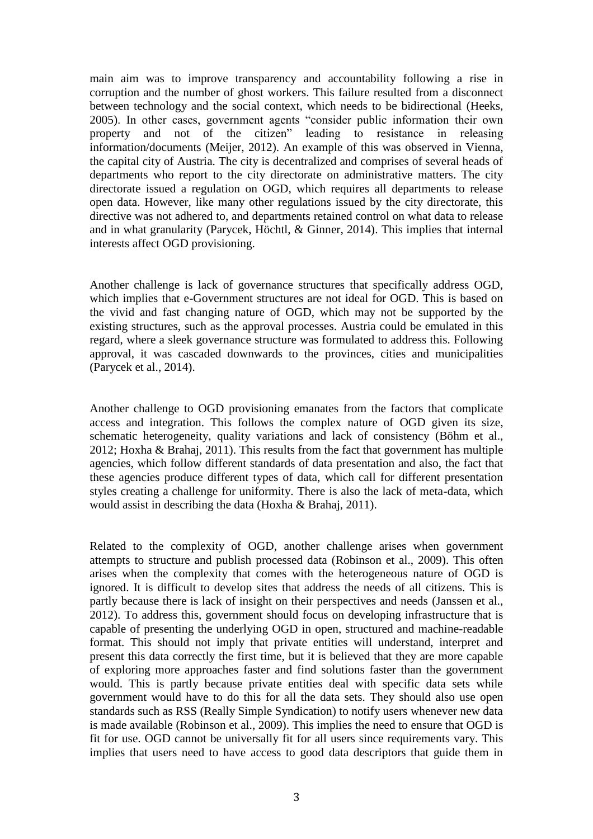main aim was to improve transparency and accountability following a rise in corruption and the number of ghost workers. This failure resulted from a disconnect between technology and the social context, which needs to be bidirectional (Heeks, 2005). In other cases, government agents "consider public information their own property and not of the citizen" leading to resistance in releasing information/documents (Meijer, 2012). An example of this was observed in Vienna, the capital city of Austria. The city is decentralized and comprises of several heads of departments who report to the city directorate on administrative matters. The city directorate issued a regulation on OGD, which requires all departments to release open data. However, like many other regulations issued by the city directorate, this directive was not adhered to, and departments retained control on what data to release and in what granularity (Parycek, Höchtl, & Ginner, 2014). This implies that internal interests affect OGD provisioning.

Another challenge is lack of governance structures that specifically address OGD, which implies that e-Government structures are not ideal for OGD. This is based on the vivid and fast changing nature of OGD, which may not be supported by the existing structures, such as the approval processes. Austria could be emulated in this regard, where a sleek governance structure was formulated to address this. Following approval, it was cascaded downwards to the provinces, cities and municipalities (Parycek et al., 2014).

Another challenge to OGD provisioning emanates from the factors that complicate access and integration. This follows the complex nature of OGD given its size, schematic heterogeneity, quality variations and lack of consistency (Böhm et al., 2012; Hoxha & Brahaj, 2011). This results from the fact that government has multiple agencies, which follow different standards of data presentation and also, the fact that these agencies produce different types of data, which call for different presentation styles creating a challenge for uniformity. There is also the lack of meta-data, which would assist in describing the data (Hoxha & Brahaj, 2011).

Related to the complexity of OGD, another challenge arises when government attempts to structure and publish processed data (Robinson et al., 2009). This often arises when the complexity that comes with the heterogeneous nature of OGD is ignored. It is difficult to develop sites that address the needs of all citizens. This is partly because there is lack of insight on their perspectives and needs (Janssen et al., 2012). To address this, government should focus on developing infrastructure that is capable of presenting the underlying OGD in open, structured and machine-readable format. This should not imply that private entities will understand, interpret and present this data correctly the first time, but it is believed that they are more capable of exploring more approaches faster and find solutions faster than the government would. This is partly because private entities deal with specific data sets while government would have to do this for all the data sets. They should also use open standards such as RSS (Really Simple Syndication) to notify users whenever new data is made available (Robinson et al., 2009). This implies the need to ensure that OGD is fit for use. OGD cannot be universally fit for all users since requirements vary. This implies that users need to have access to good data descriptors that guide them in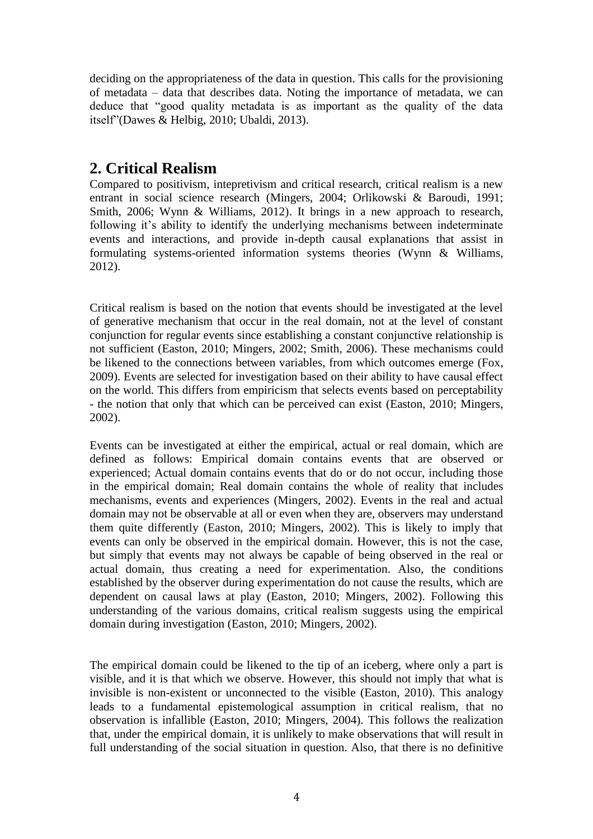deciding on the appropriateness of the data in question. This calls for the provisioning of metadata – data that describes data. Noting the importance of metadata, we can deduce that "good quality metadata is as important as the quality of the data itself"(Dawes & Helbig, 2010; Ubaldi, 2013).

## **2. Critical Realism**

Compared to positivism, intepretivism and critical research, critical realism is a new entrant in social science research (Mingers, 2004; Orlikowski & Baroudi, 1991; Smith, 2006; Wynn & Williams, 2012). It brings in a new approach to research, following it's ability to identify the underlying mechanisms between indeterminate events and interactions, and provide in-depth causal explanations that assist in formulating systems-oriented information systems theories (Wynn & Williams, 2012).

Critical realism is based on the notion that events should be investigated at the level of generative mechanism that occur in the real domain, not at the level of constant conjunction for regular events since establishing a constant conjunctive relationship is not sufficient (Easton, 2010; Mingers, 2002; Smith, 2006). These mechanisms could be likened to the connections between variables, from which outcomes emerge (Fox, 2009). Events are selected for investigation based on their ability to have causal effect on the world. This differs from empiricism that selects events based on perceptability - the notion that only that which can be perceived can exist (Easton, 2010; Mingers, 2002).

Events can be investigated at either the empirical, actual or real domain, which are defined as follows: Empirical domain contains events that are observed or experienced; Actual domain contains events that do or do not occur, including those in the empirical domain; Real domain contains the whole of reality that includes mechanisms, events and experiences (Mingers, 2002). Events in the real and actual domain may not be observable at all or even when they are, observers may understand them quite differently (Easton, 2010; Mingers, 2002). This is likely to imply that events can only be observed in the empirical domain. However, this is not the case, but simply that events may not always be capable of being observed in the real or actual domain, thus creating a need for experimentation. Also, the conditions established by the observer during experimentation do not cause the results, which are dependent on causal laws at play (Easton, 2010; Mingers, 2002). Following this understanding of the various domains, critical realism suggests using the empirical domain during investigation (Easton, 2010; Mingers, 2002).

The empirical domain could be likened to the tip of an iceberg, where only a part is visible, and it is that which we observe. However, this should not imply that what is invisible is non-existent or unconnected to the visible (Easton, 2010). This analogy leads to a fundamental epistemological assumption in critical realism, that no observation is infallible (Easton, 2010; Mingers, 2004). This follows the realization that, under the empirical domain, it is unlikely to make observations that will result in full understanding of the social situation in question. Also, that there is no definitive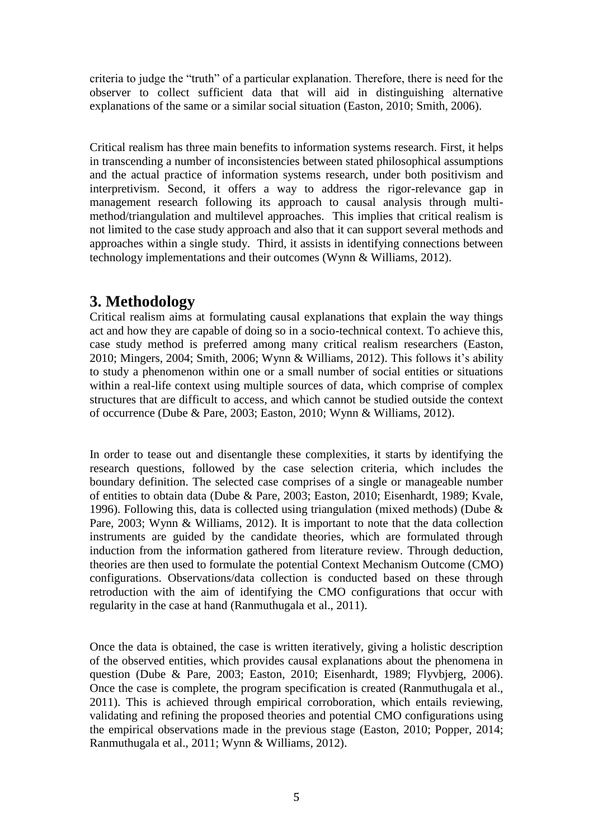criteria to judge the "truth" of a particular explanation. Therefore, there is need for the observer to collect sufficient data that will aid in distinguishing alternative explanations of the same or a similar social situation (Easton, 2010; Smith, 2006).

Critical realism has three main benefits to information systems research. First, it helps in transcending a number of inconsistencies between stated philosophical assumptions and the actual practice of information systems research, under both positivism and interpretivism. Second, it offers a way to address the rigor-relevance gap in management research following its approach to causal analysis through multimethod/triangulation and multilevel approaches. This implies that critical realism is not limited to the case study approach and also that it can support several methods and approaches within a single study. Third, it assists in identifying connections between technology implementations and their outcomes (Wynn & Williams, 2012).

### **3. Methodology**

Critical realism aims at formulating causal explanations that explain the way things act and how they are capable of doing so in a socio-technical context. To achieve this, case study method is preferred among many critical realism researchers (Easton, 2010; Mingers, 2004; Smith, 2006; Wynn & Williams, 2012). This follows it's ability to study a phenomenon within one or a small number of social entities or situations within a real-life context using multiple sources of data, which comprise of complex structures that are difficult to access, and which cannot be studied outside the context of occurrence (Dube & Pare, 2003; Easton, 2010; Wynn & Williams, 2012).

In order to tease out and disentangle these complexities, it starts by identifying the research questions, followed by the case selection criteria, which includes the boundary definition. The selected case comprises of a single or manageable number of entities to obtain data (Dube & Pare, 2003; Easton, 2010; Eisenhardt, 1989; Kvale, 1996). Following this, data is collected using triangulation (mixed methods) (Dube & Pare, 2003; Wynn & Williams, 2012). It is important to note that the data collection instruments are guided by the candidate theories, which are formulated through induction from the information gathered from literature review. Through deduction, theories are then used to formulate the potential Context Mechanism Outcome (CMO) configurations. Observations/data collection is conducted based on these through retroduction with the aim of identifying the CMO configurations that occur with regularity in the case at hand (Ranmuthugala et al., 2011).

Once the data is obtained, the case is written iteratively, giving a holistic description of the observed entities, which provides causal explanations about the phenomena in question (Dube & Pare, 2003; Easton, 2010; Eisenhardt, 1989; Flyvbjerg, 2006). Once the case is complete, the program specification is created (Ranmuthugala et al., 2011). This is achieved through empirical corroboration, which entails reviewing, validating and refining the proposed theories and potential CMO configurations using the empirical observations made in the previous stage (Easton, 2010; Popper, 2014; Ranmuthugala et al., 2011; Wynn & Williams, 2012).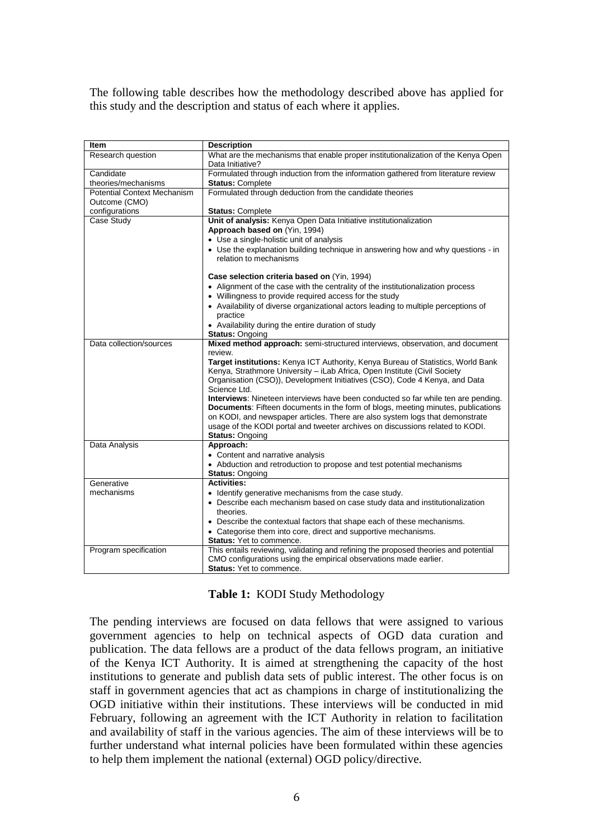The following table describes how the methodology described above has applied for this study and the description and status of each where it applies.

| <b>Item</b>                        | <b>Description</b>                                                                                    |  |  |  |
|------------------------------------|-------------------------------------------------------------------------------------------------------|--|--|--|
| Research question                  |                                                                                                       |  |  |  |
|                                    | What are the mechanisms that enable proper institutionalization of the Kenya Open<br>Data Initiative? |  |  |  |
| Candidate                          |                                                                                                       |  |  |  |
|                                    | Formulated through induction from the information gathered from literature review                     |  |  |  |
| theories/mechanisms                | <b>Status: Complete</b>                                                                               |  |  |  |
| <b>Potential Context Mechanism</b> | Formulated through deduction from the candidate theories                                              |  |  |  |
| Outcome (CMO)                      |                                                                                                       |  |  |  |
| configurations                     | <b>Status: Complete</b>                                                                               |  |  |  |
| Case Study                         | Unit of analysis: Kenya Open Data Initiative institutionalization                                     |  |  |  |
|                                    | Approach based on (Yin, 1994)                                                                         |  |  |  |
|                                    | • Use a single-holistic unit of analysis                                                              |  |  |  |
|                                    | • Use the explanation building technique in answering how and why questions - in                      |  |  |  |
|                                    | relation to mechanisms                                                                                |  |  |  |
|                                    | Case selection criteria based on (Yin, 1994)                                                          |  |  |  |
|                                    | • Alignment of the case with the centrality of the institutionalization process                       |  |  |  |
|                                    | • Willingness to provide required access for the study                                                |  |  |  |
|                                    | • Availability of diverse organizational actors leading to multiple perceptions of                    |  |  |  |
|                                    | practice                                                                                              |  |  |  |
|                                    |                                                                                                       |  |  |  |
|                                    | • Availability during the entire duration of study<br><b>Status: Ongoing</b>                          |  |  |  |
|                                    |                                                                                                       |  |  |  |
| Data collection/sources            | Mixed method approach: semi-structured interviews, observation, and document<br>review.               |  |  |  |
|                                    |                                                                                                       |  |  |  |
|                                    | Target institutions: Kenya ICT Authority, Kenya Bureau of Statistics, World Bank                      |  |  |  |
|                                    | Kenya, Strathmore University - iLab Africa, Open Institute (Civil Society                             |  |  |  |
|                                    | Organisation (CSO)), Development Initiatives (CSO), Code 4 Kenya, and Data<br>Science Ltd.            |  |  |  |
|                                    | <b>Interviews:</b> Nineteen interviews have been conducted so far while ten are pending.              |  |  |  |
|                                    | Documents: Fifteen documents in the form of blogs, meeting minutes, publications                      |  |  |  |
|                                    | on KODI, and newspaper articles. There are also system logs that demonstrate                          |  |  |  |
|                                    | usage of the KODI portal and tweeter archives on discussions related to KODI.                         |  |  |  |
|                                    | <b>Status: Ongoing</b>                                                                                |  |  |  |
| Data Analysis                      | Approach:                                                                                             |  |  |  |
|                                    | • Content and narrative analysis                                                                      |  |  |  |
|                                    | • Abduction and retroduction to propose and test potential mechanisms                                 |  |  |  |
|                                    |                                                                                                       |  |  |  |
| Generative                         | <b>Status: Ongoing</b><br><b>Activities:</b>                                                          |  |  |  |
|                                    |                                                                                                       |  |  |  |
| mechanisms                         | • Identify generative mechanisms from the case study.                                                 |  |  |  |
|                                    | • Describe each mechanism based on case study data and institutionalization                           |  |  |  |
|                                    | theories.                                                                                             |  |  |  |
|                                    | • Describe the contextual factors that shape each of these mechanisms.                                |  |  |  |
|                                    | • Categorise them into core, direct and supportive mechanisms.                                        |  |  |  |
|                                    | <b>Status: Yet to commence.</b>                                                                       |  |  |  |
| Program specification              | This entails reviewing, validating and refining the proposed theories and potential                   |  |  |  |
|                                    | CMO configurations using the empirical observations made earlier.                                     |  |  |  |
|                                    | <b>Status: Yet to commence.</b>                                                                       |  |  |  |

#### **Table 1:** KODI Study Methodology

The pending interviews are focused on data fellows that were assigned to various government agencies to help on technical aspects of OGD data curation and publication. The data fellows are a product of the data fellows program, an initiative of the Kenya ICT Authority. It is aimed at strengthening the capacity of the host institutions to generate and publish data sets of public interest. The other focus is on staff in government agencies that act as champions in charge of institutionalizing the OGD initiative within their institutions. These interviews will be conducted in mid February, following an agreement with the ICT Authority in relation to facilitation and availability of staff in the various agencies. The aim of these interviews will be to further understand what internal policies have been formulated within these agencies to help them implement the national (external) OGD policy/directive.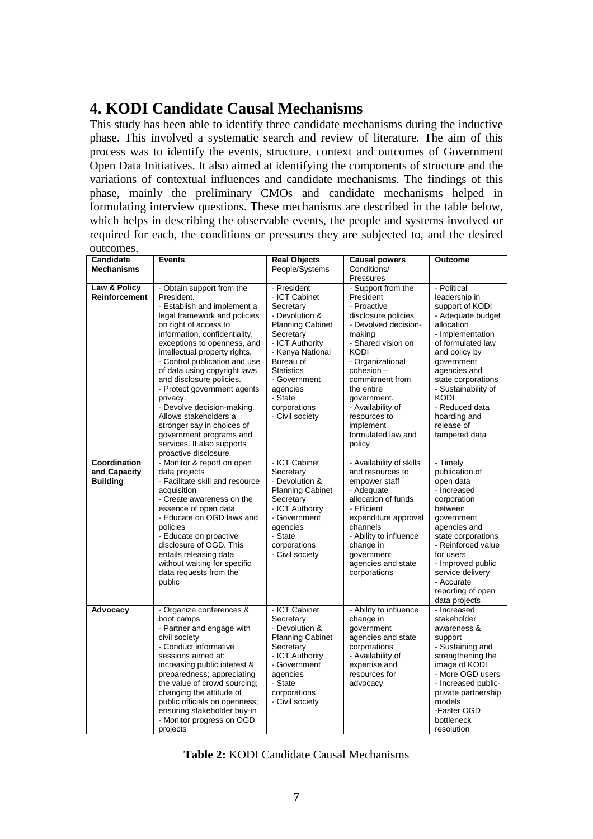## **4. KODI Candidate Causal Mechanisms**

This study has been able to identify three candidate mechanisms during the inductive phase. This involved a systematic search and review of literature. The aim of this process was to identify the events, structure, context and outcomes of Government Open Data Initiatives. It also aimed at identifying the components of structure and the variations of contextual influences and candidate mechanisms. The findings of this phase, mainly the preliminary CMOs and candidate mechanisms helped in formulating interview questions. These mechanisms are described in the table below, which helps in describing the observable events, the people and systems involved or required for each, the conditions or pressures they are subjected to, and the desired outcomes.

| <b>Candidate</b><br><b>Mechanisms</b>           | <b>Events</b>                                                                                                                                                                                                                                                                                                                                                                                                                                                                                                                                   | <b>Real Objects</b><br>People/Systems                                                                                                                                                                                                                  | <b>Causal powers</b><br>Conditions/                                                                                                                                                                                                                                                                              | Outcome                                                                                                                                                                                                                                                                                                 |
|-------------------------------------------------|-------------------------------------------------------------------------------------------------------------------------------------------------------------------------------------------------------------------------------------------------------------------------------------------------------------------------------------------------------------------------------------------------------------------------------------------------------------------------------------------------------------------------------------------------|--------------------------------------------------------------------------------------------------------------------------------------------------------------------------------------------------------------------------------------------------------|------------------------------------------------------------------------------------------------------------------------------------------------------------------------------------------------------------------------------------------------------------------------------------------------------------------|---------------------------------------------------------------------------------------------------------------------------------------------------------------------------------------------------------------------------------------------------------------------------------------------------------|
|                                                 |                                                                                                                                                                                                                                                                                                                                                                                                                                                                                                                                                 |                                                                                                                                                                                                                                                        | Pressures                                                                                                                                                                                                                                                                                                        |                                                                                                                                                                                                                                                                                                         |
| Law & Policy<br>Reinforcement                   | - Obtain support from the<br>President.<br>- Establish and implement a<br>legal framework and policies<br>on right of access to<br>information, confidentiality,<br>exceptions to openness, and<br>intellectual property rights.<br>- Control publication and use<br>of data using copyright laws<br>and disclosure policies.<br>- Protect government agents<br>privacy.<br>- Devolve decision-making.<br>Allows stakeholders a<br>stronger say in choices of<br>government programs and<br>services. It also supports<br>proactive disclosure. | - President<br>- ICT Cabinet<br>Secretary<br>- Devolution &<br><b>Planning Cabinet</b><br>Secretary<br>- ICT Authority<br>- Kenya National<br>Bureau of<br><b>Statistics</b><br>- Government<br>agencies<br>- State<br>corporations<br>- Civil society | - Support from the<br>President<br>- Proactive<br>disclosure policies<br>- Devolved decision-<br>making<br>- Shared vision on<br><b>KODI</b><br>- Organizational<br>cohesion -<br>commitment from<br>the entire<br>government.<br>- Availability of<br>resources to<br>implement<br>formulated law and<br>policy | - Political<br>leadership in<br>support of KODI<br>- Adequate budget<br>allocation<br>- Implementation<br>of formulated law<br>and policy by<br>government<br>agencies and<br>state corporations<br>- Sustainability of<br><b>KODI</b><br>- Reduced data<br>hoarding and<br>release of<br>tampered data |
| Coordination<br>and Capacity<br><b>Building</b> | - Monitor & report on open<br>data projects<br>- Facilitate skill and resource<br>acquisition<br>- Create awareness on the<br>essence of open data<br>- Educate on OGD laws and<br>policies<br>- Educate on proactive<br>disclosure of OGD. This<br>entails releasing data<br>without waiting for specific<br>data requests from the<br>public                                                                                                                                                                                                  | - ICT Cabinet<br>Secretary<br>- Devolution &<br><b>Planning Cabinet</b><br>Secretary<br>- ICT Authority<br>- Government<br>agencies<br>- State<br>corporations<br>- Civil society                                                                      | - Availability of skills<br>and resources to<br>empower staff<br>- Adequate<br>allocation of funds<br>- Efficient<br>expenditure approval<br>channels<br>- Ability to influence<br>change in<br>government<br>agencies and state<br>corporations                                                                 | - Timely<br>publication of<br>open data<br>- Increased<br>corporation<br>between<br>government<br>agencies and<br>state corporations<br>- Reinforced value<br>for users<br>- Improved public<br>service delivery<br>- Accurate<br>reporting of open<br>data projects                                    |
| Advocacy                                        | - Organize conferences &<br>boot camps<br>- Partner and engage with<br>civil society<br>- Conduct informative<br>sessions aimed at:<br>increasing public interest &<br>preparedness; appreciating<br>the value of crowd sourcing;<br>changing the attitude of<br>public officials on openness;<br>ensuring stakeholder buy-in<br>- Monitor progress on OGD<br>projects                                                                                                                                                                          | - ICT Cabinet<br>Secretary<br>- Devolution &<br><b>Planning Cabinet</b><br>Secretary<br>- ICT Authority<br>- Government<br>agencies<br>- State<br>corporations<br>- Civil society                                                                      | - Ability to influence<br>change in<br>government<br>agencies and state<br>corporations<br>- Availability of<br>expertise and<br>resources for<br>advocacy                                                                                                                                                       | - Increased<br>stakeholder<br>awareness &<br>support<br>- Sustaining and<br>strengthening the<br>image of KODI<br>- More OGD users<br>- Increased public-<br>private partnership<br>models<br>-Faster OGD<br>bottleneck<br>resolution                                                                   |

**Table 2:** KODI Candidate Causal Mechanisms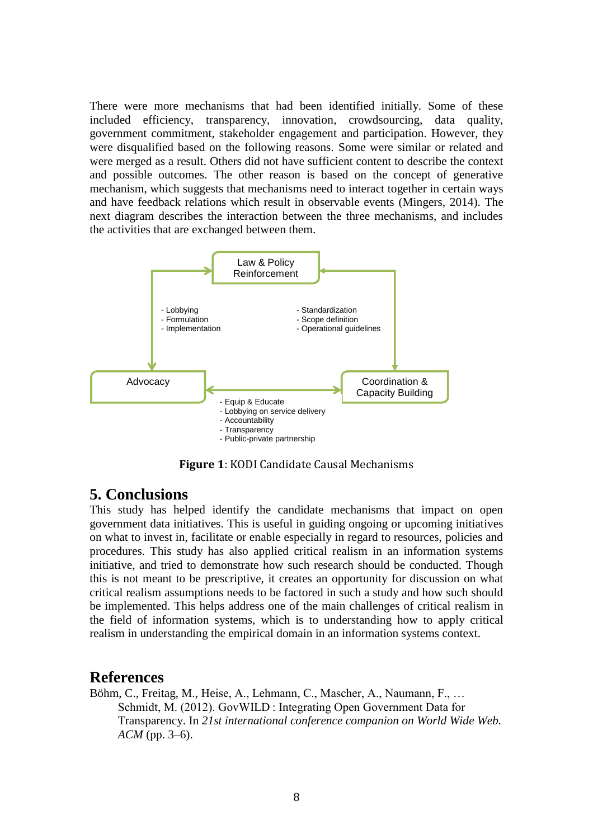There were more mechanisms that had been identified initially. Some of these included efficiency, transparency, innovation, crowdsourcing, data quality, government commitment, stakeholder engagement and participation. However, they were disqualified based on the following reasons. Some were similar or related and were merged as a result. Others did not have sufficient content to describe the context and possible outcomes. The other reason is based on the concept of generative mechanism, which suggests that mechanisms need to interact together in certain ways and have feedback relations which result in observable events (Mingers, 2014). The next diagram describes the interaction between the three mechanisms, and includes the activities that are exchanged between them.



**Figure 1**: KODI Candidate Causal Mechanisms

#### **5. Conclusions**

This study has helped identify the candidate mechanisms that impact on open government data initiatives. This is useful in guiding ongoing or upcoming initiatives on what to invest in, facilitate or enable especially in regard to resources, policies and procedures. This study has also applied critical realism in an information systems initiative, and tried to demonstrate how such research should be conducted. Though this is not meant to be prescriptive, it creates an opportunity for discussion on what critical realism assumptions needs to be factored in such a study and how such should be implemented. This helps address one of the main challenges of critical realism in the field of information systems, which is to understanding how to apply critical realism in understanding the empirical domain in an information systems context.

#### **References**

Böhm, C., Freitag, M., Heise, A., Lehmann, C., Mascher, A., Naumann, F., … Schmidt, M. (2012). GovWILD : Integrating Open Government Data for Transparency. In *21st international conference companion on World Wide Web. ACM* (pp. 3–6).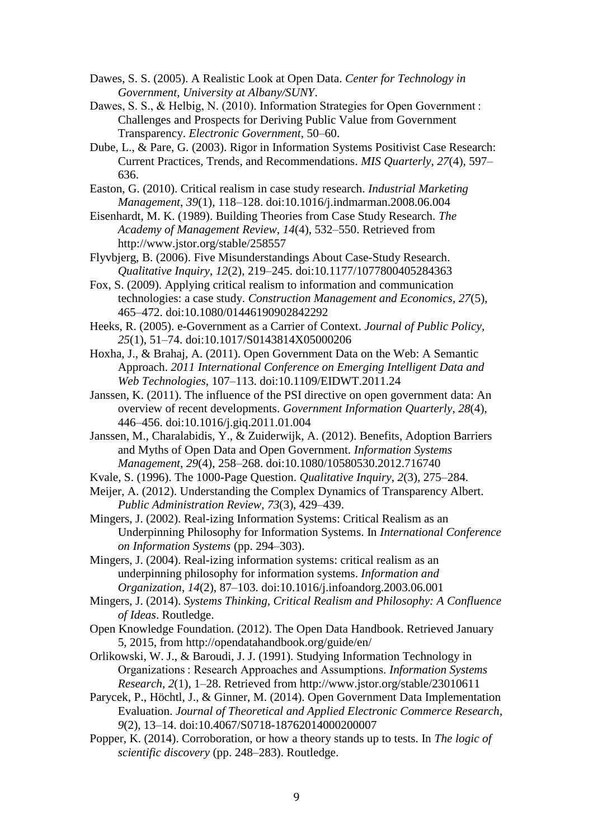- Dawes, S. S. (2005). A Realistic Look at Open Data. *Center for Technology in Government, University at Albany/SUNY*.
- Dawes, S. S., & Helbig, N. (2010). Information Strategies for Open Government : Challenges and Prospects for Deriving Public Value from Government Transparency. *Electronic Government*, 50–60.
- Dube, L., & Pare, G. (2003). Rigor in Information Systems Positivist Case Research: Current Practices, Trends, and Recommendations. *MIS Quarterly*, *27*(4), 597– 636.
- Easton, G. (2010). Critical realism in case study research. *Industrial Marketing Management*, *39*(1), 118–128. doi:10.1016/j.indmarman.2008.06.004
- Eisenhardt, M. K. (1989). Building Theories from Case Study Research. *The Academy of Management Review*, *14*(4), 532–550. Retrieved from http://www.jstor.org/stable/258557
- Flyvbjerg, B. (2006). Five Misunderstandings About Case-Study Research. *Qualitative Inquiry*, *12*(2), 219–245. doi:10.1177/1077800405284363
- Fox, S. (2009). Applying critical realism to information and communication technologies: a case study. *Construction Management and Economics*, *27*(5), 465–472. doi:10.1080/01446190902842292
- Heeks, R. (2005). e-Government as a Carrier of Context. *Journal of Public Policy*, *25*(1), 51–74. doi:10.1017/S0143814X05000206
- Hoxha, J., & Brahaj, A. (2011). Open Government Data on the Web: A Semantic Approach. *2011 International Conference on Emerging Intelligent Data and Web Technologies*, 107–113. doi:10.1109/EIDWT.2011.24
- Janssen, K. (2011). The influence of the PSI directive on open government data: An overview of recent developments. *Government Information Quarterly*, *28*(4), 446–456. doi:10.1016/j.giq.2011.01.004
- Janssen, M., Charalabidis, Y., & Zuiderwijk, A. (2012). Benefits, Adoption Barriers and Myths of Open Data and Open Government. *Information Systems Management*, *29*(4), 258–268. doi:10.1080/10580530.2012.716740
- Kvale, S. (1996). The 1000-Page Question. *Qualitative Inquiry*, *2*(3), 275–284.
- Meijer, A. (2012). Understanding the Complex Dynamics of Transparency Albert. *Public Administration Review*, *73*(3), 429–439.

Mingers, J. (2002). Real-izing Information Systems: Critical Realism as an Underpinning Philosophy for Information Systems. In *International Conference on Information Systems* (pp. 294–303).

Mingers, J. (2004). Real-izing information systems: critical realism as an underpinning philosophy for information systems. *Information and Organization*, *14*(2), 87–103. doi:10.1016/j.infoandorg.2003.06.001

- Mingers, J. (2014). *Systems Thinking, Critical Realism and Philosophy: A Confluence of Ideas*. Routledge.
- Open Knowledge Foundation. (2012). The Open Data Handbook. Retrieved January 5, 2015, from http://opendatahandbook.org/guide/en/
- Orlikowski, W. J., & Baroudi, J. J. (1991). Studying Information Technology in Organizations : Research Approaches and Assumptions. *Information Systems Research*, *2*(1), 1–28. Retrieved from http://www.jstor.org/stable/23010611
- Parycek, P., Höchtl, J., & Ginner, M. (2014). Open Government Data Implementation Evaluation. *Journal of Theoretical and Applied Electronic Commerce Research*, *9*(2), 13–14. doi:10.4067/S0718-18762014000200007
- Popper, K. (2014). Corroboration, or how a theory stands up to tests. In *The logic of scientific discovery* (pp. 248–283). Routledge.